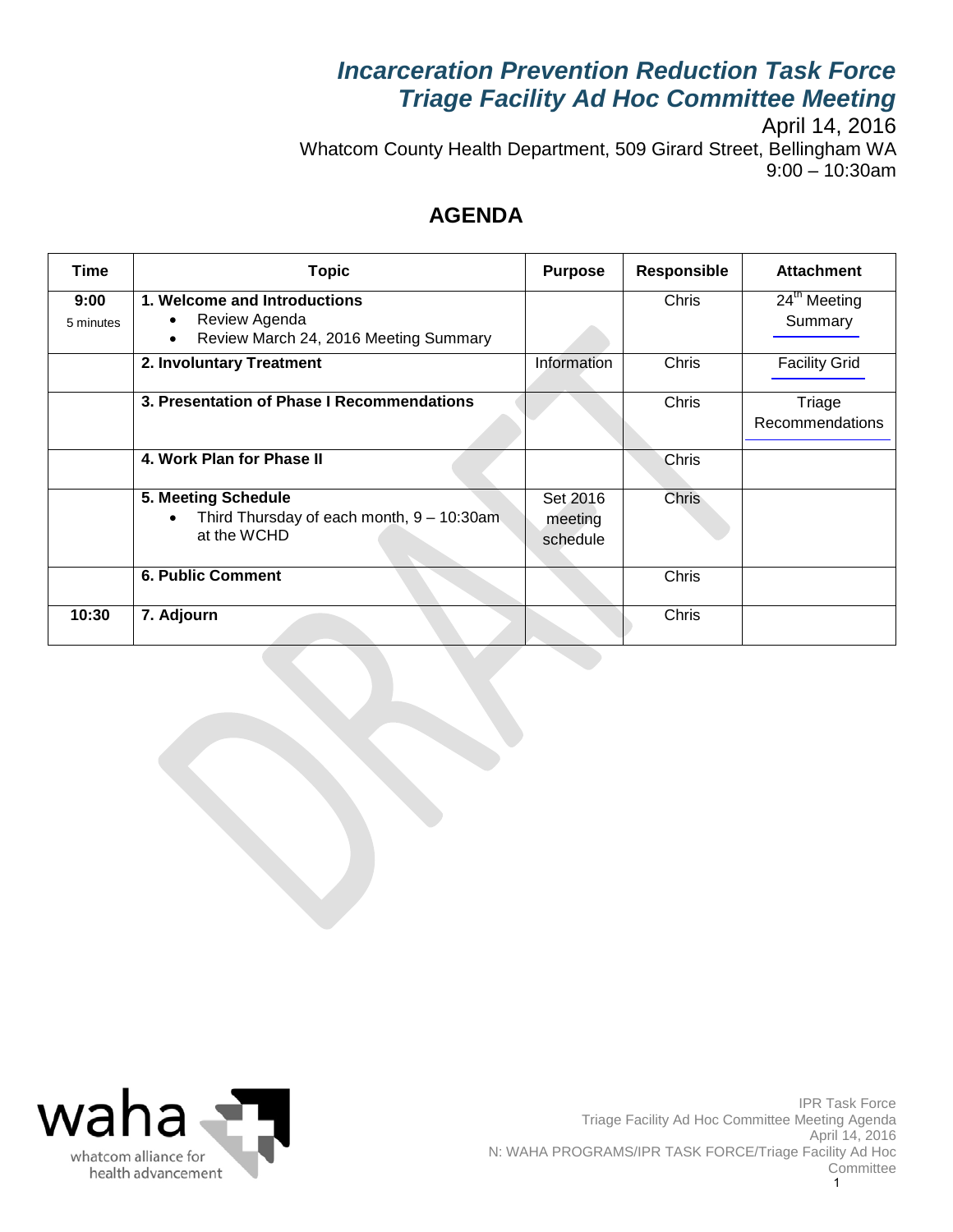# *Incarceration Prevention Reduction Task Force Triage Facility Ad Hoc Committee Meeting*

April 14, 2016 Whatcom County Health Department, 509 Girard Street, Bellingham WA 9:00 – 10:30am

### **AGENDA**

| Time              | <b>Topic</b>                                                                                             | <b>Purpose</b>                  | <b>Responsible</b> | <b>Attachment</b>                   |
|-------------------|----------------------------------------------------------------------------------------------------------|---------------------------------|--------------------|-------------------------------------|
| 9:00<br>5 minutes | 1. Welcome and Introductions<br>Review Agenda<br>٠<br>Review March 24, 2016 Meeting Summary<br>$\bullet$ |                                 | Chris              | 24 <sup>th</sup> Meeting<br>Summary |
|                   | 2. Involuntary Treatment                                                                                 | Information                     | Chris              | <b>Facility Grid</b>                |
|                   | 3. Presentation of Phase I Recommendations                                                               |                                 | Chris              | Triage<br>Recommendations           |
|                   | 4. Work Plan for Phase II                                                                                |                                 | Chris              |                                     |
|                   | 5. Meeting Schedule<br>Third Thursday of each month, $9 - 10:30$ am<br>at the WCHD                       | Set 2016<br>meeting<br>schedule | <b>Chris</b>       |                                     |
|                   | <b>6. Public Comment</b>                                                                                 |                                 | Chris              |                                     |
| 10:30             | 7. Adjourn                                                                                               |                                 | Chris              |                                     |

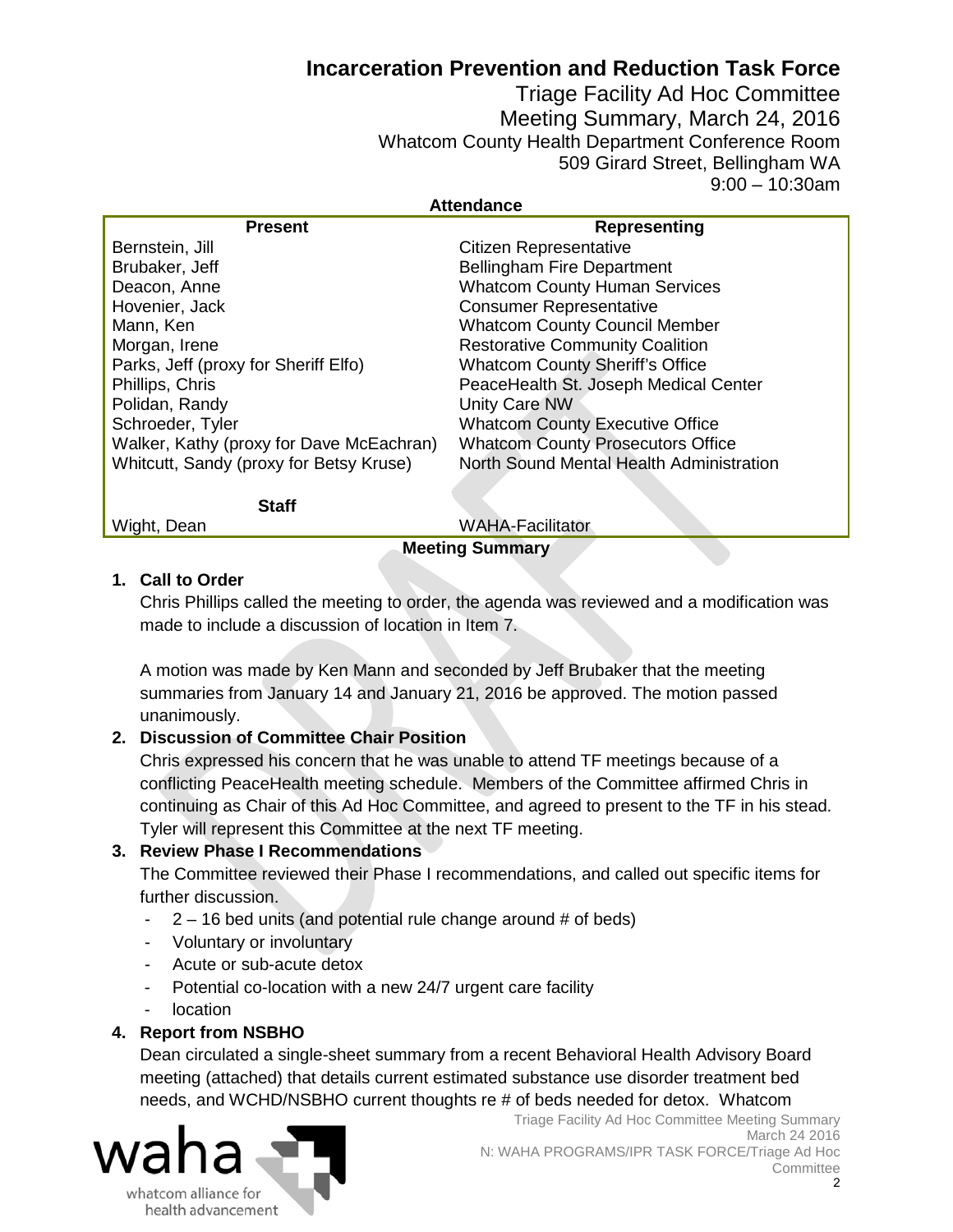### **Incarceration Prevention and Reduction Task Force**

Triage Facility Ad Hoc Committee Meeting Summary, March 24, 2016 Whatcom County Health Department Conference Room 509 Girard Street, Bellingham WA 9:00 – 10:30am

#### **Attendance**

<span id="page-1-0"></span>

| <b>Present</b>                           | <b>Representing</b>                      |  |  |  |  |
|------------------------------------------|------------------------------------------|--|--|--|--|
| Bernstein, Jill                          | Citizen Representative                   |  |  |  |  |
| Brubaker, Jeff                           | <b>Bellingham Fire Department</b>        |  |  |  |  |
| Deacon, Anne                             | <b>Whatcom County Human Services</b>     |  |  |  |  |
| Hovenier, Jack                           | <b>Consumer Representative</b>           |  |  |  |  |
| Mann, Ken                                | <b>Whatcom County Council Member</b>     |  |  |  |  |
| Morgan, Irene                            | <b>Restorative Community Coalition</b>   |  |  |  |  |
| Parks, Jeff (proxy for Sheriff Elfo)     | <b>Whatcom County Sheriff's Office</b>   |  |  |  |  |
| Phillips, Chris                          | PeaceHealth St. Joseph Medical Center    |  |  |  |  |
| Polidan, Randy                           | Unity Care NW                            |  |  |  |  |
| Schroeder, Tyler                         | <b>Whatcom County Executive Office</b>   |  |  |  |  |
| Walker, Kathy (proxy for Dave McEachran) | <b>Whatcom County Prosecutors Office</b> |  |  |  |  |
| Whitcutt, Sandy (proxy for Betsy Kruse)  | North Sound Mental Health Administration |  |  |  |  |
|                                          |                                          |  |  |  |  |
| <b>Staff</b>                             |                                          |  |  |  |  |
| <b>WAHA-Facilitator</b><br>Wight, Dean   |                                          |  |  |  |  |
| <b>Meeting Summary</b>                   |                                          |  |  |  |  |

#### **1. Call to Order**

Chris Phillips called the meeting to order, the agenda was reviewed and a modification was made to include a discussion of location in Item 7.

A motion was made by Ken Mann and seconded by Jeff Brubaker that the meeting summaries from January 14 and January 21, 2016 be approved. The motion passed unanimously.

#### **2. Discussion of Committee Chair Position**

Chris expressed his concern that he was unable to attend TF meetings because of a conflicting PeaceHealth meeting schedule. Members of the Committee affirmed Chris in continuing as Chair of this Ad Hoc Committee, and agreed to present to the TF in his stead. Tyler will represent this Committee at the next TF meeting.

#### **3. Review Phase I Recommendations**

The Committee reviewed their Phase I recommendations, and called out specific items for further discussion.

- $2 16$  bed units (and potential rule change around # of beds)
- Voluntary or involuntary
- Acute or sub-acute detox
- Potential co-location with a new 24/7 urgent care facility
- **location**

#### **4. Report from NSBHO**

Dean circulated a single-sheet summary from a recent Behavioral Health Advisory Board meeting (attached) that details current estimated substance use disorder treatment bed needs, and WCHD/NSBHO current thoughts re # of beds needed for detox. Whatcom

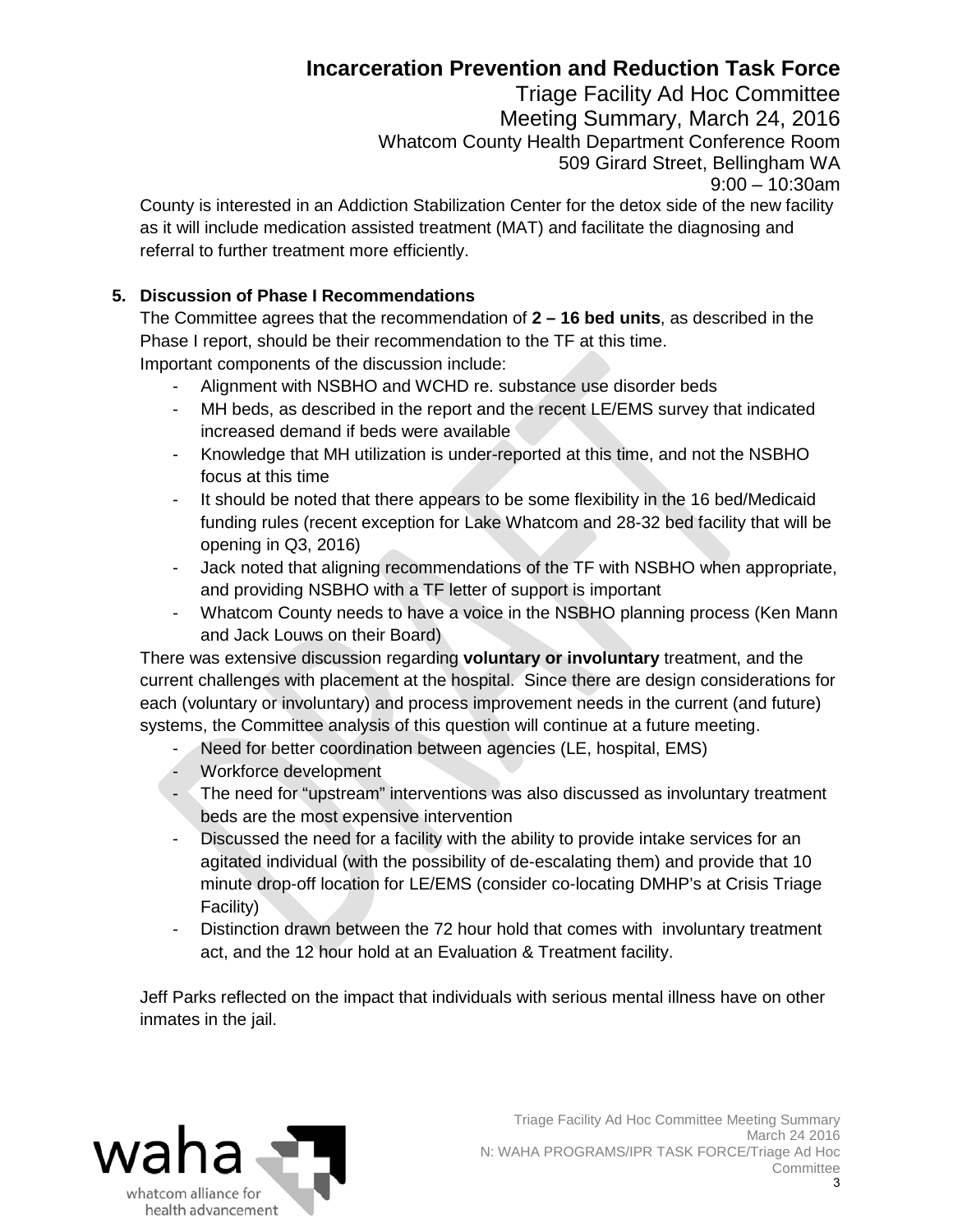## **Incarceration Prevention and Reduction Task Force**

Triage Facility Ad Hoc Committee Meeting Summary, March 24, 2016 Whatcom County Health Department Conference Room 509 Girard Street, Bellingham WA 9:00 – 10:30am

County is interested in an Addiction Stabilization Center for the detox side of the new facility as it will include medication assisted treatment (MAT) and facilitate the diagnosing and referral to further treatment more efficiently.

#### **5. Discussion of Phase I Recommendations**

The Committee agrees that the recommendation of **2 – 16 bed units**, as described in the Phase I report, should be their recommendation to the TF at this time. Important components of the discussion include:

- Alignment with NSBHO and WCHD re. substance use disorder beds
- MH beds, as described in the report and the recent LE/EMS survey that indicated increased demand if beds were available
- Knowledge that MH utilization is under-reported at this time, and not the NSBHO focus at this time
- It should be noted that there appears to be some flexibility in the 16 bed/Medicaid funding rules (recent exception for Lake Whatcom and 28-32 bed facility that will be opening in Q3, 2016)
- Jack noted that aligning recommendations of the TF with NSBHO when appropriate, and providing NSBHO with a TF letter of support is important
- Whatcom County needs to have a voice in the NSBHO planning process (Ken Mann and Jack Louws on their Board)

There was extensive discussion regarding **voluntary or involuntary** treatment, and the current challenges with placement at the hospital. Since there are design considerations for each (voluntary or involuntary) and process improvement needs in the current (and future) systems, the Committee analysis of this question will continue at a future meeting.

- Need for better coordination between agencies (LE, hospital, EMS)
- Workforce development
- The need for "upstream" interventions was also discussed as involuntary treatment beds are the most expensive intervention
- Discussed the need for a facility with the ability to provide intake services for an agitated individual (with the possibility of de-escalating them) and provide that 10 minute drop-off location for LE/EMS (consider co-locating DMHP's at Crisis Triage Facility)
- Distinction drawn between the 72 hour hold that comes with involuntary treatment act, and the 12 hour hold at an Evaluation & Treatment facility.

Jeff Parks reflected on the impact that individuals with serious mental illness have on other inmates in the jail.

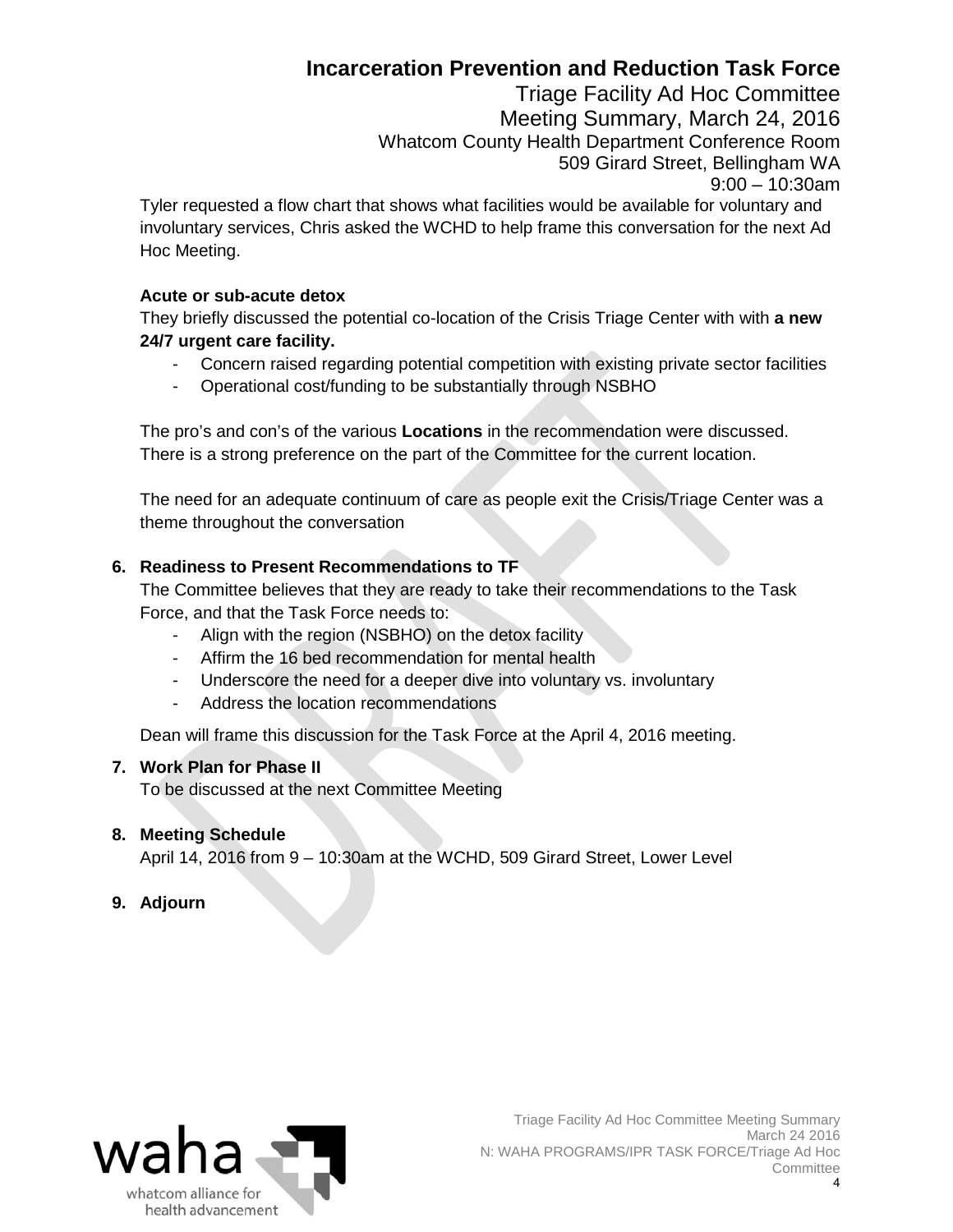## **Incarceration Prevention and Reduction Task Force**

Triage Facility Ad Hoc Committee Meeting Summary, March 24, 2016 Whatcom County Health Department Conference Room 509 Girard Street, Bellingham WA 9:00 – 10:30am

Tyler requested a flow chart that shows what facilities would be available for voluntary and involuntary services, Chris asked the WCHD to help frame this conversation for the next Ad Hoc Meeting.

#### **Acute or sub-acute detox**

They briefly discussed the potential co-location of the Crisis Triage Center with with **a new 24/7 urgent care facility.** 

- Concern raised regarding potential competition with existing private sector facilities
- Operational cost/funding to be substantially through NSBHO

The pro's and con's of the various **Locations** in the recommendation were discussed. There is a strong preference on the part of the Committee for the current location.

The need for an adequate continuum of care as people exit the Crisis/Triage Center was a theme throughout the conversation

#### **6. Readiness to Present Recommendations to TF**

The Committee believes that they are ready to take their recommendations to the Task Force, and that the Task Force needs to:

- Align with the region (NSBHO) on the detox facility
- Affirm the 16 bed recommendation for mental health
- Underscore the need for a deeper dive into voluntary vs. involuntary
- Address the location recommendations

Dean will frame this discussion for the Task Force at the April 4, 2016 meeting.

#### **7. Work Plan for Phase II**

To be discussed at the next Committee Meeting

#### **8. Meeting Schedule**

April 14, 2016 from 9 – 10:30am at the WCHD, 509 Girard Street, Lower Level

#### **9. Adjourn**

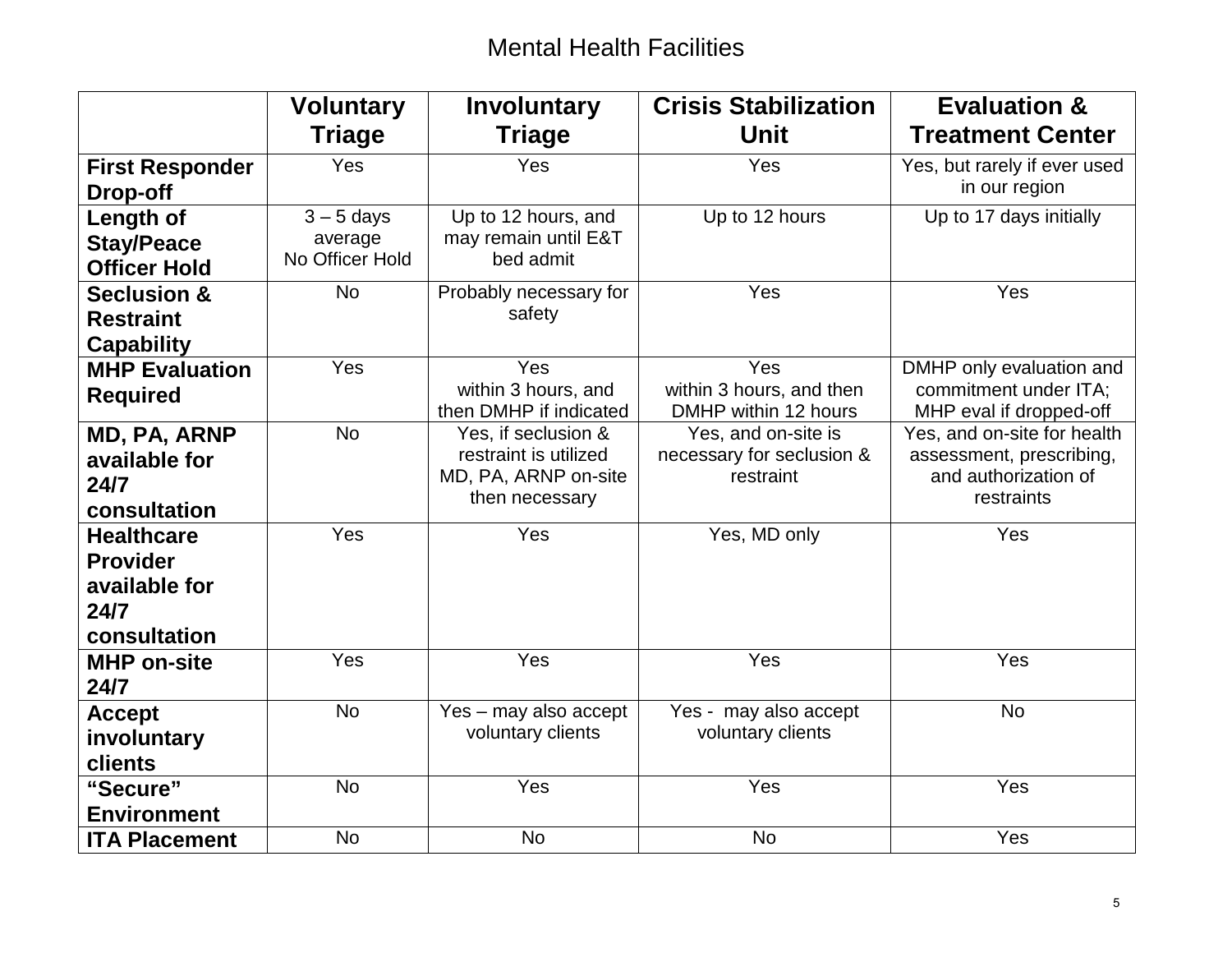# Mental Health Facilities

<span id="page-4-0"></span>

|                        | <b>Voluntary</b> | <b>Involuntary</b>                            | <b>Crisis Stabilization</b>            | <b>Evaluation &amp;</b>                          |
|------------------------|------------------|-----------------------------------------------|----------------------------------------|--------------------------------------------------|
|                        | <b>Triage</b>    | <b>Triage</b>                                 | Unit                                   | <b>Treatment Center</b>                          |
| <b>First Responder</b> | Yes              | Yes                                           | Yes                                    | Yes, but rarely if ever used                     |
| Drop-off               |                  |                                               |                                        | in our region                                    |
| Length of              | $3 - 5$ days     | Up to 12 hours, and                           | Up to 12 hours                         | Up to 17 days initially                          |
| <b>Stay/Peace</b>      | average          | may remain until E&T                          |                                        |                                                  |
| <b>Officer Hold</b>    | No Officer Hold  | bed admit                                     |                                        |                                                  |
| <b>Seclusion &amp;</b> | <b>No</b>        | Probably necessary for                        | Yes                                    | Yes                                              |
| <b>Restraint</b>       |                  | safety                                        |                                        |                                                  |
| <b>Capability</b>      |                  |                                               |                                        |                                                  |
| <b>MHP Evaluation</b>  | Yes              | Yes                                           | Yes                                    | DMHP only evaluation and                         |
| <b>Required</b>        |                  | within 3 hours, and                           | within 3 hours, and then               | commitment under ITA;                            |
|                        |                  | then DMHP if indicated                        | DMHP within 12 hours                   | MHP eval if dropped-off                          |
| MD, PA, ARNP           | <b>No</b>        | Yes, if seclusion &                           | Yes, and on-site is                    | Yes, and on-site for health                      |
| available for          |                  | restraint is utilized<br>MD, PA, ARNP on-site | necessary for seclusion &<br>restraint | assessment, prescribing,<br>and authorization of |
| 24/7                   |                  | then necessary                                |                                        | restraints                                       |
| consultation           |                  |                                               |                                        |                                                  |
| <b>Healthcare</b>      | Yes              | Yes                                           | Yes, MD only                           | Yes                                              |
| <b>Provider</b>        |                  |                                               |                                        |                                                  |
| available for          |                  |                                               |                                        |                                                  |
| 24/7                   |                  |                                               |                                        |                                                  |
| consultation           |                  |                                               |                                        |                                                  |
| <b>MHP on-site</b>     | Yes              | Yes                                           | Yes                                    | Yes                                              |
| 24/7                   |                  |                                               |                                        |                                                  |
| <b>Accept</b>          | <b>No</b>        | Yes - may also accept                         | Yes - may also accept                  | <b>No</b>                                        |
| involuntary            |                  | voluntary clients                             | voluntary clients                      |                                                  |
| clients                |                  |                                               |                                        |                                                  |
| "Secure"               | <b>No</b>        | Yes                                           | Yes                                    | Yes                                              |
| <b>Environment</b>     |                  |                                               |                                        |                                                  |
| <b>ITA Placement</b>   | <b>No</b>        | <b>No</b>                                     | <b>No</b>                              | Yes                                              |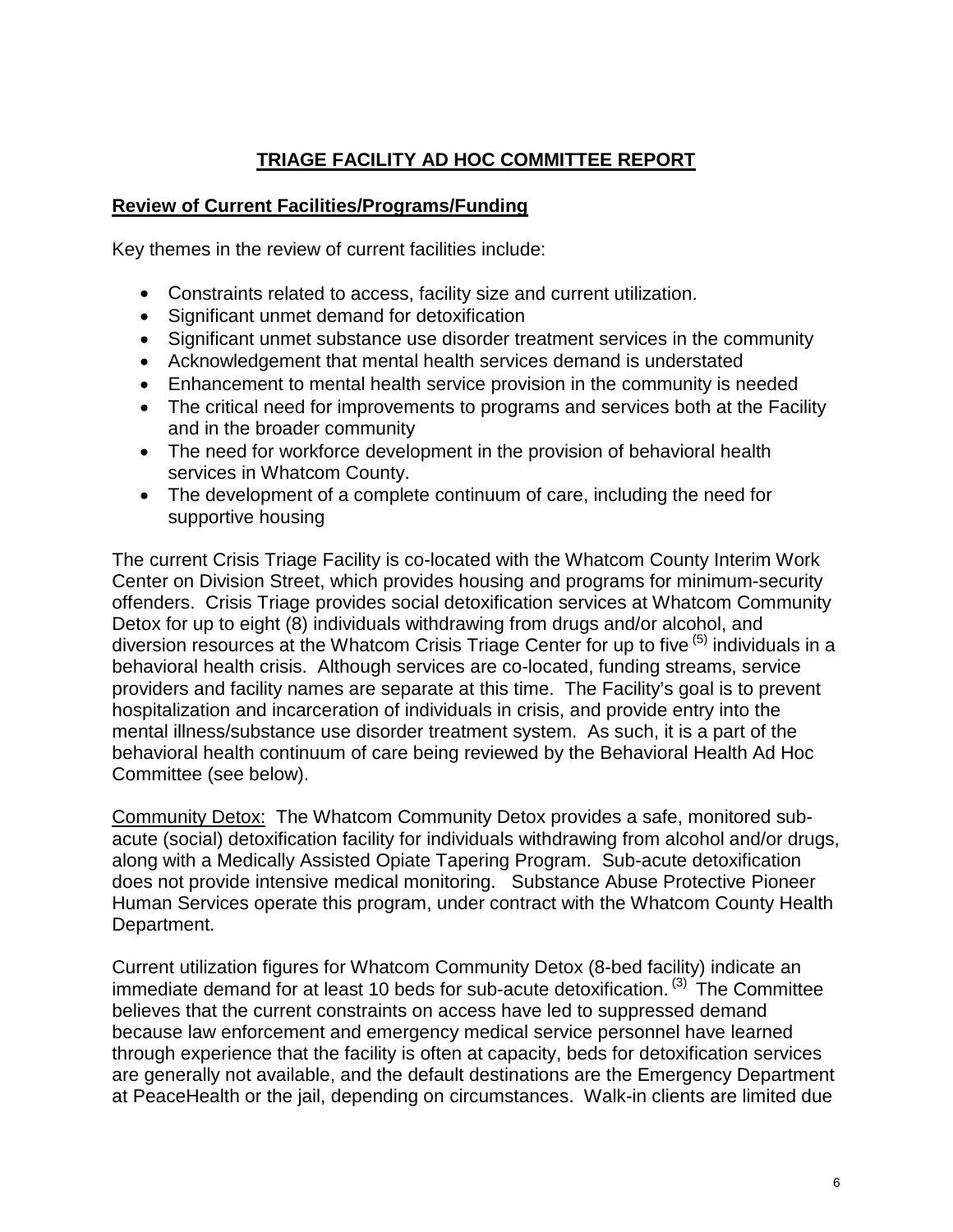### **TRIAGE FACILITY AD HOC COMMITTEE REPORT**

#### <span id="page-5-0"></span>**Review of Current Facilities/Programs/Funding**

Key themes in the review of current facilities include:

- Constraints related to access, facility size and current utilization.
- Significant unmet demand for detoxification
- Significant unmet substance use disorder treatment services in the community
- Acknowledgement that mental health services demand is understated
- Enhancement to mental health service provision in the community is needed
- The critical need for improvements to programs and services both at the Facility and in the broader community
- The need for workforce development in the provision of behavioral health services in Whatcom County.
- The development of a complete continuum of care, including the need for supportive housing

The current Crisis Triage Facility is co-located with the Whatcom County Interim Work Center on Division Street, which provides housing and programs for minimum-security offenders. Crisis Triage provides social detoxification services at Whatcom Community Detox for up to eight (8) individuals withdrawing from drugs and/or alcohol, and diversion resources at the Whatcom Crisis Triage Center for up to five  $(5)$  individuals in a behavioral health crisis. Although services are co-located, funding streams, service providers and facility names are separate at this time. The Facility's goal is to prevent hospitalization and incarceration of individuals in crisis, and provide entry into the mental illness/substance use disorder treatment system. As such, it is a part of the behavioral health continuum of care being reviewed by the Behavioral Health Ad Hoc Committee (see below).

Community Detox: The Whatcom Community Detox provides a safe, monitored subacute (social) detoxification facility for individuals withdrawing from alcohol and/or drugs, along with a Medically Assisted Opiate Tapering Program. Sub-acute detoxification does not provide intensive medical monitoring. Substance Abuse Protective Pioneer Human Services operate this program, under contract with the Whatcom County Health Department.

Current utilization figures for Whatcom Community Detox (8-bed facility) indicate an immediate demand for at least 10 beds for sub-acute detoxification.<sup>(3)</sup> The Committee believes that the current constraints on access have led to suppressed demand because law enforcement and emergency medical service personnel have learned through experience that the facility is often at capacity, beds for detoxification services are generally not available, and the default destinations are the Emergency Department at PeaceHealth or the jail, depending on circumstances. Walk-in clients are limited due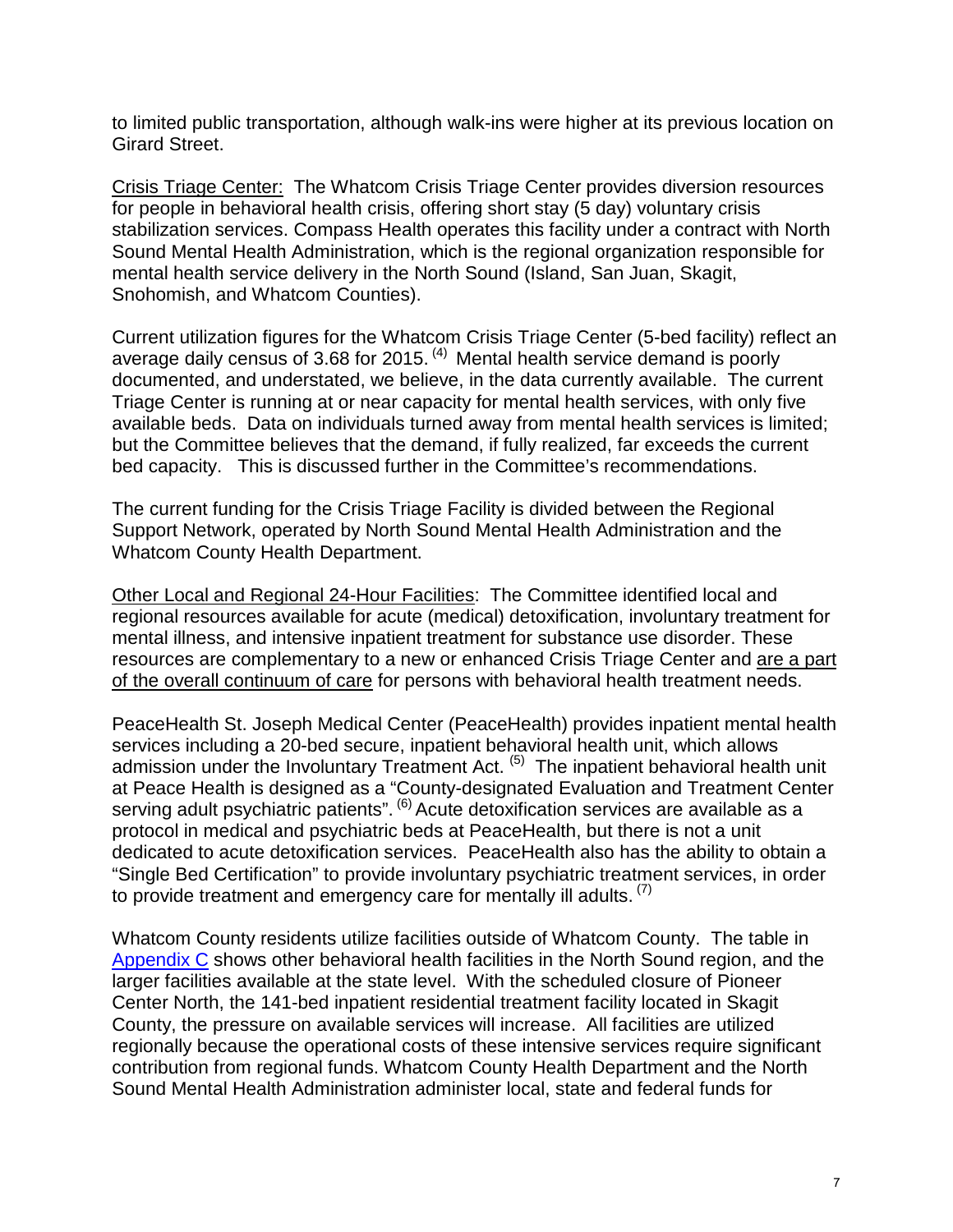to limited public transportation, although walk-ins were higher at its previous location on Girard Street.

Crisis Triage Center: The Whatcom Crisis Triage Center provides diversion resources for people in behavioral health crisis, offering short stay (5 day) voluntary crisis stabilization services. Compass Health operates this facility under a contract with North Sound Mental Health Administration, which is the regional organization responsible for mental health service delivery in the North Sound (Island, San Juan, Skagit, Snohomish, and Whatcom Counties).

Current utilization figures for the Whatcom Crisis Triage Center (5-bed facility) reflect an average daily census of 3.68 for 2015.<sup>(4)</sup> Mental health service demand is poorly documented, and understated, we believe, in the data currently available. The current Triage Center is running at or near capacity for mental health services, with only five available beds. Data on individuals turned away from mental health services is limited; but the Committee believes that the demand, if fully realized, far exceeds the current bed capacity. This is discussed further in the Committee's recommendations.

The current funding for the Crisis Triage Facility is divided between the Regional Support Network, operated by North Sound Mental Health Administration and the Whatcom County Health Department.

Other Local and Regional 24-Hour Facilities: The Committee identified local and regional resources available for acute (medical) detoxification, involuntary treatment for mental illness, and intensive inpatient treatment for substance use disorder. These resources are complementary to a new or enhanced Crisis Triage Center and are a part of the overall continuum of care for persons with behavioral health treatment needs.

PeaceHealth St. Joseph Medical Center (PeaceHealth) provides inpatient mental health services including a 20-bed secure, inpatient behavioral health unit, which allows admission under the Involuntary Treatment Act. (5) The inpatient behavioral health unit at Peace Health is designed as a "County-designated Evaluation and Treatment Center serving adult psychiatric patients". <sup>(6)</sup> Acute detoxification services are available as a protocol in medical and psychiatric beds at PeaceHealth, but there is not a unit dedicated to acute detoxification services. PeaceHealth also has the ability to obtain a "Single Bed Certification" to provide involuntary psychiatric treatment services, in order to provide treatment and emergency care for mentally ill adults.  $(7)$ 

Whatcom County residents utilize facilities outside of Whatcom County. The table in [Appendix C](#page-13-0) shows other behavioral health facilities in the North Sound region, and the larger facilities available at the state level. With the scheduled closure of Pioneer Center North, the 141-bed inpatient residential treatment facility located in Skagit County, the pressure on available services will increase. All facilities are utilized regionally because the operational costs of these intensive services require significant contribution from regional funds. Whatcom County Health Department and the North Sound Mental Health Administration administer local, state and federal funds for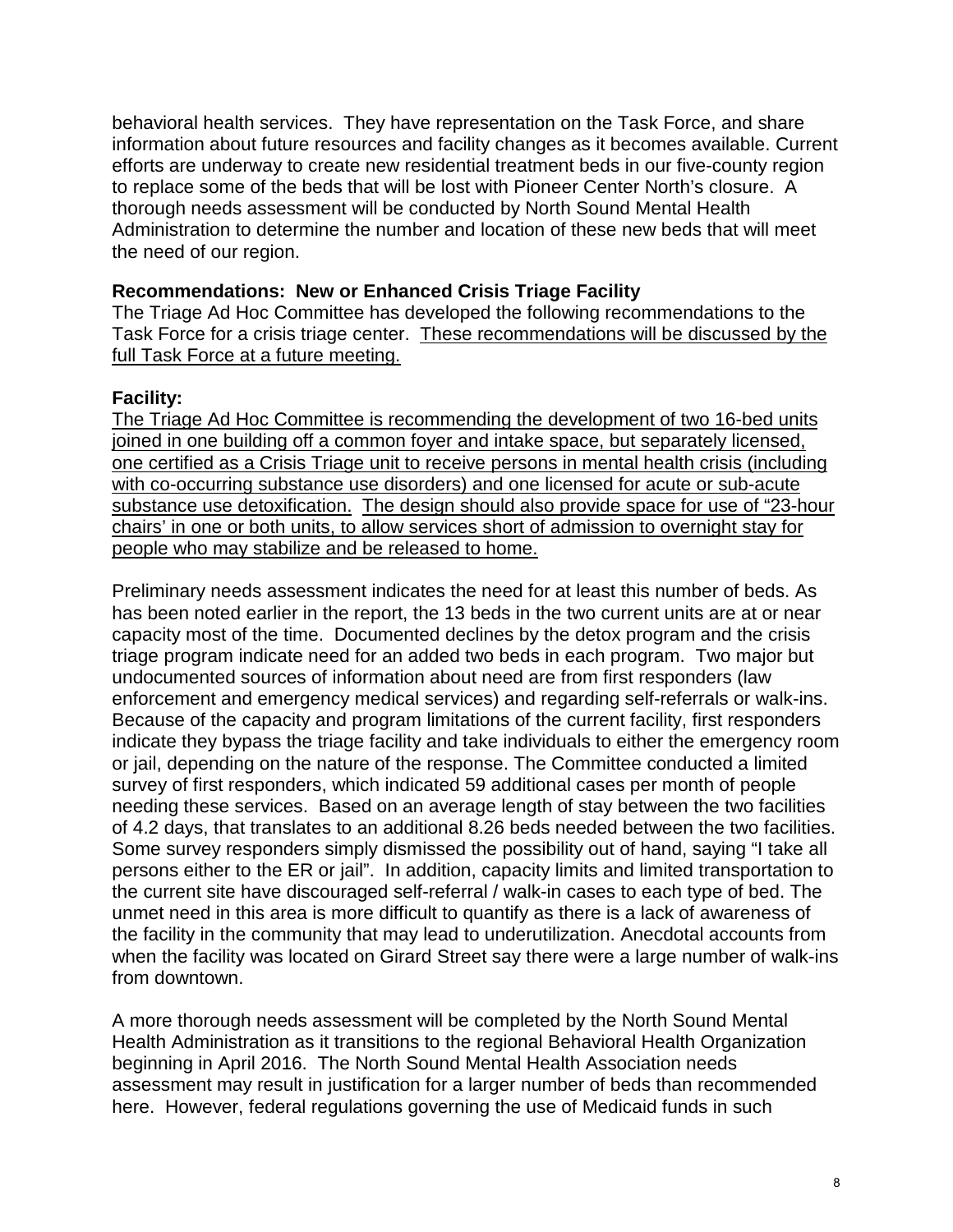behavioral health services. They have representation on the Task Force, and share information about future resources and facility changes as it becomes available. Current efforts are underway to create new residential treatment beds in our five-county region to replace some of the beds that will be lost with Pioneer Center North's closure. A thorough needs assessment will be conducted by North Sound Mental Health Administration to determine the number and location of these new beds that will meet the need of our region.

#### **Recommendations: New or Enhanced Crisis Triage Facility**

The Triage Ad Hoc Committee has developed the following recommendations to the Task Force for a crisis triage center. These recommendations will be discussed by the full Task Force at a future meeting.

#### **Facility:**

The Triage Ad Hoc Committee is recommending the development of two 16-bed units joined in one building off a common foyer and intake space, but separately licensed, one certified as a Crisis Triage unit to receive persons in mental health crisis (including with co-occurring substance use disorders) and one licensed for acute or sub-acute substance use detoxification. The design should also provide space for use of "23-hour chairs' in one or both units, to allow services short of admission to overnight stay for people who may stabilize and be released to home.

Preliminary needs assessment indicates the need for at least this number of beds. As has been noted earlier in the report, the 13 beds in the two current units are at or near capacity most of the time. Documented declines by the detox program and the crisis triage program indicate need for an added two beds in each program. Two major but undocumented sources of information about need are from first responders (law enforcement and emergency medical services) and regarding self-referrals or walk-ins. Because of the capacity and program limitations of the current facility, first responders indicate they bypass the triage facility and take individuals to either the emergency room or jail, depending on the nature of the response. The Committee conducted a limited survey of first responders, which indicated 59 additional cases per month of people needing these services. Based on an average length of stay between the two facilities of 4.2 days, that translates to an additional 8.26 beds needed between the two facilities. Some survey responders simply dismissed the possibility out of hand, saying "I take all persons either to the ER or jail". In addition, capacity limits and limited transportation to the current site have discouraged self-referral / walk-in cases to each type of bed. The unmet need in this area is more difficult to quantify as there is a lack of awareness of the facility in the community that may lead to underutilization. Anecdotal accounts from when the facility was located on Girard Street say there were a large number of walk-ins from downtown.

A more thorough needs assessment will be completed by the North Sound Mental Health Administration as it transitions to the regional Behavioral Health Organization beginning in April 2016. The North Sound Mental Health Association needs assessment may result in justification for a larger number of beds than recommended here. However, federal regulations governing the use of Medicaid funds in such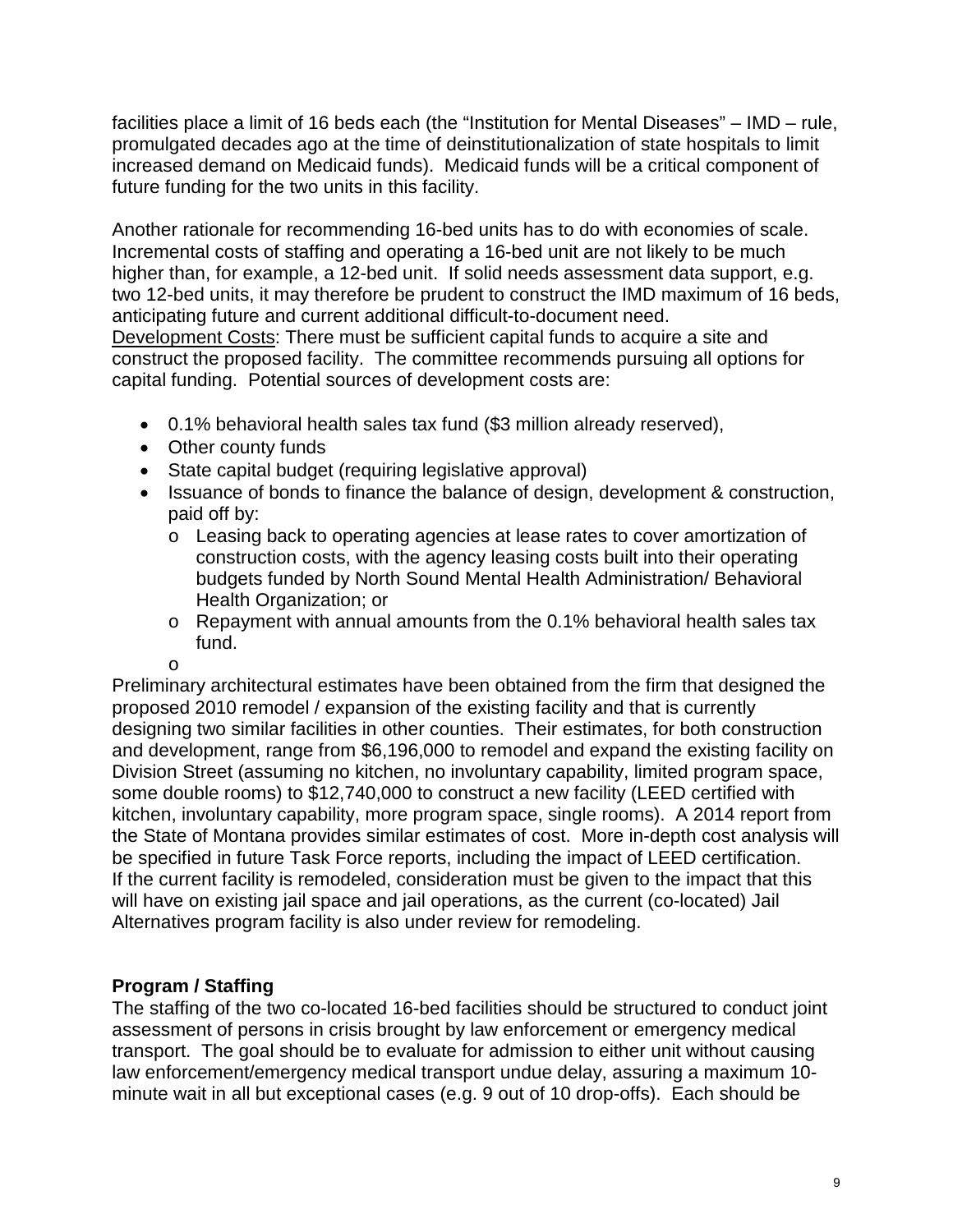facilities place a limit of 16 beds each (the "Institution for Mental Diseases" – IMD – rule, promulgated decades ago at the time of deinstitutionalization of state hospitals to limit increased demand on Medicaid funds). Medicaid funds will be a critical component of future funding for the two units in this facility.

Another rationale for recommending 16-bed units has to do with economies of scale. Incremental costs of staffing and operating a 16-bed unit are not likely to be much higher than, for example, a 12-bed unit. If solid needs assessment data support, e.g. two 12-bed units, it may therefore be prudent to construct the IMD maximum of 16 beds, anticipating future and current additional difficult-to-document need.

Development Costs: There must be sufficient capital funds to acquire a site and construct the proposed facility. The committee recommends pursuing all options for capital funding. Potential sources of development costs are:

- 0.1% behavioral health sales tax fund (\$3 million already reserved),
- Other county funds
- State capital budget (requiring legislative approval)
- Issuance of bonds to finance the balance of design, development & construction, paid off by:
	- o Leasing back to operating agencies at lease rates to cover amortization of construction costs, with the agency leasing costs built into their operating budgets funded by North Sound Mental Health Administration/ Behavioral Health Organization; or
	- o Repayment with annual amounts from the 0.1% behavioral health sales tax fund.

o

Preliminary architectural estimates have been obtained from the firm that designed the proposed 2010 remodel / expansion of the existing facility and that is currently designing two similar facilities in other counties. Their estimates, for both construction and development, range from \$6,196,000 to remodel and expand the existing facility on Division Street (assuming no kitchen, no involuntary capability, limited program space, some double rooms) to \$12,740,000 to construct a new facility (LEED certified with kitchen, involuntary capability, more program space, single rooms). A 2014 report from the State of Montana provides similar estimates of cost. More in-depth cost analysis will be specified in future Task Force reports, including the impact of LEED certification. If the current facility is remodeled, consideration must be given to the impact that this will have on existing jail space and jail operations, as the current (co-located) Jail Alternatives program facility is also under review for remodeling.

### **Program / Staffing**

The staffing of the two co-located 16-bed facilities should be structured to conduct joint assessment of persons in crisis brought by law enforcement or emergency medical transport. The goal should be to evaluate for admission to either unit without causing law enforcement/emergency medical transport undue delay, assuring a maximum 10 minute wait in all but exceptional cases (e.g. 9 out of 10 drop-offs). Each should be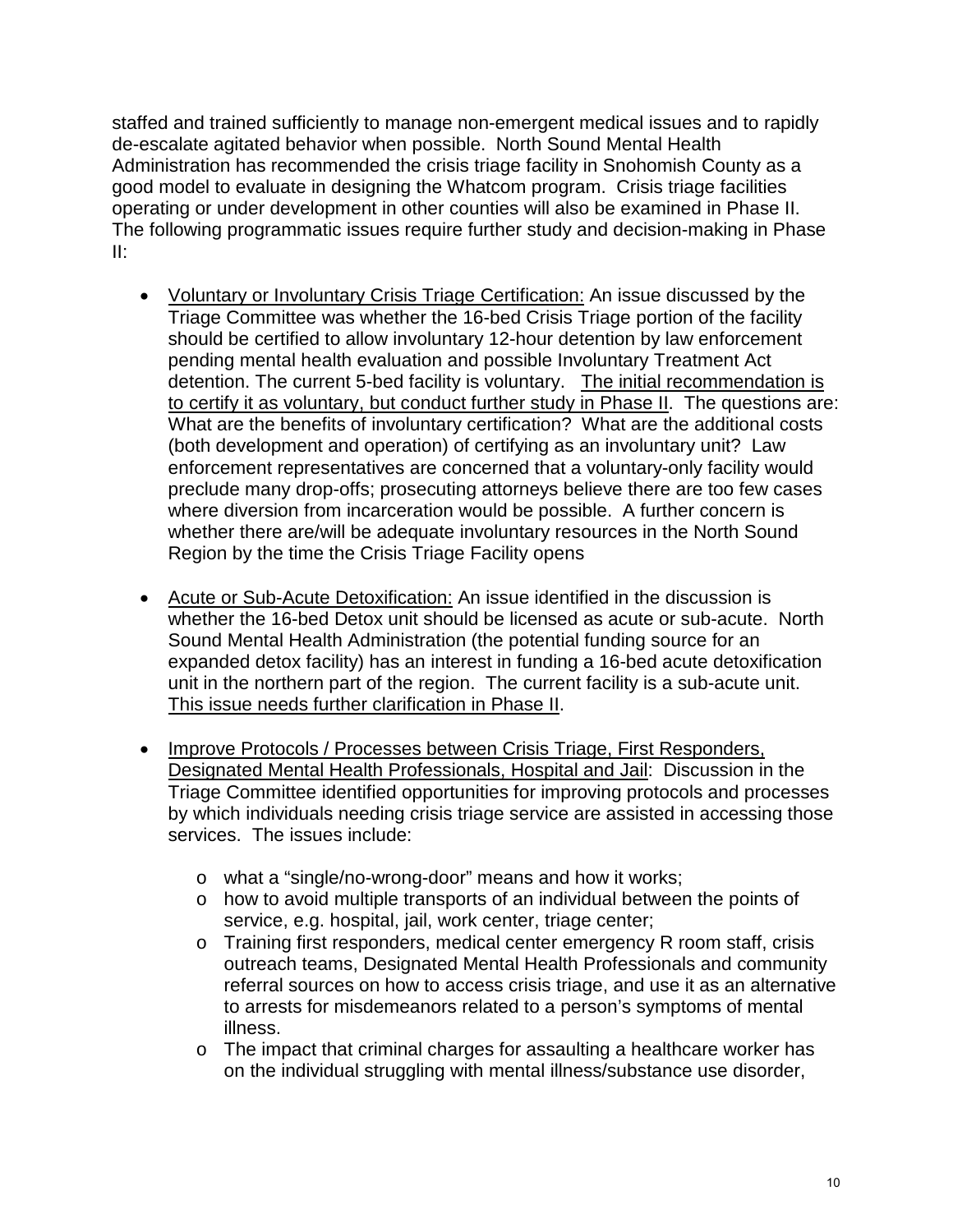staffed and trained sufficiently to manage non-emergent medical issues and to rapidly de-escalate agitated behavior when possible. North Sound Mental Health Administration has recommended the crisis triage facility in Snohomish County as a good model to evaluate in designing the Whatcom program. Crisis triage facilities operating or under development in other counties will also be examined in Phase II. The following programmatic issues require further study and decision-making in Phase II:

- Voluntary or Involuntary Crisis Triage Certification: An issue discussed by the Triage Committee was whether the 16-bed Crisis Triage portion of the facility should be certified to allow involuntary 12-hour detention by law enforcement pending mental health evaluation and possible Involuntary Treatment Act detention. The current 5-bed facility is voluntary. The initial recommendation is to certify it as voluntary, but conduct further study in Phase II. The questions are: What are the benefits of involuntary certification? What are the additional costs (both development and operation) of certifying as an involuntary unit? Law enforcement representatives are concerned that a voluntary-only facility would preclude many drop-offs; prosecuting attorneys believe there are too few cases where diversion from incarceration would be possible. A further concern is whether there are/will be adequate involuntary resources in the North Sound Region by the time the Crisis Triage Facility opens
- Acute or Sub-Acute Detoxification: An issue identified in the discussion is whether the 16-bed Detox unit should be licensed as acute or sub-acute. North Sound Mental Health Administration (the potential funding source for an expanded detox facility) has an interest in funding a 16-bed acute detoxification unit in the northern part of the region. The current facility is a sub-acute unit. This issue needs further clarification in Phase II.
- Improve Protocols / Processes between Crisis Triage, First Responders, Designated Mental Health Professionals, Hospital and Jail: Discussion in the Triage Committee identified opportunities for improving protocols and processes by which individuals needing crisis triage service are assisted in accessing those services. The issues include:
	- o what a "single/no-wrong-door" means and how it works;
	- o how to avoid multiple transports of an individual between the points of service, e.g. hospital, jail, work center, triage center;
	- o Training first responders, medical center emergency R room staff, crisis outreach teams, Designated Mental Health Professionals and community referral sources on how to access crisis triage, and use it as an alternative to arrests for misdemeanors related to a person's symptoms of mental illness.
	- o The impact that criminal charges for assaulting a healthcare worker has on the individual struggling with mental illness/substance use disorder,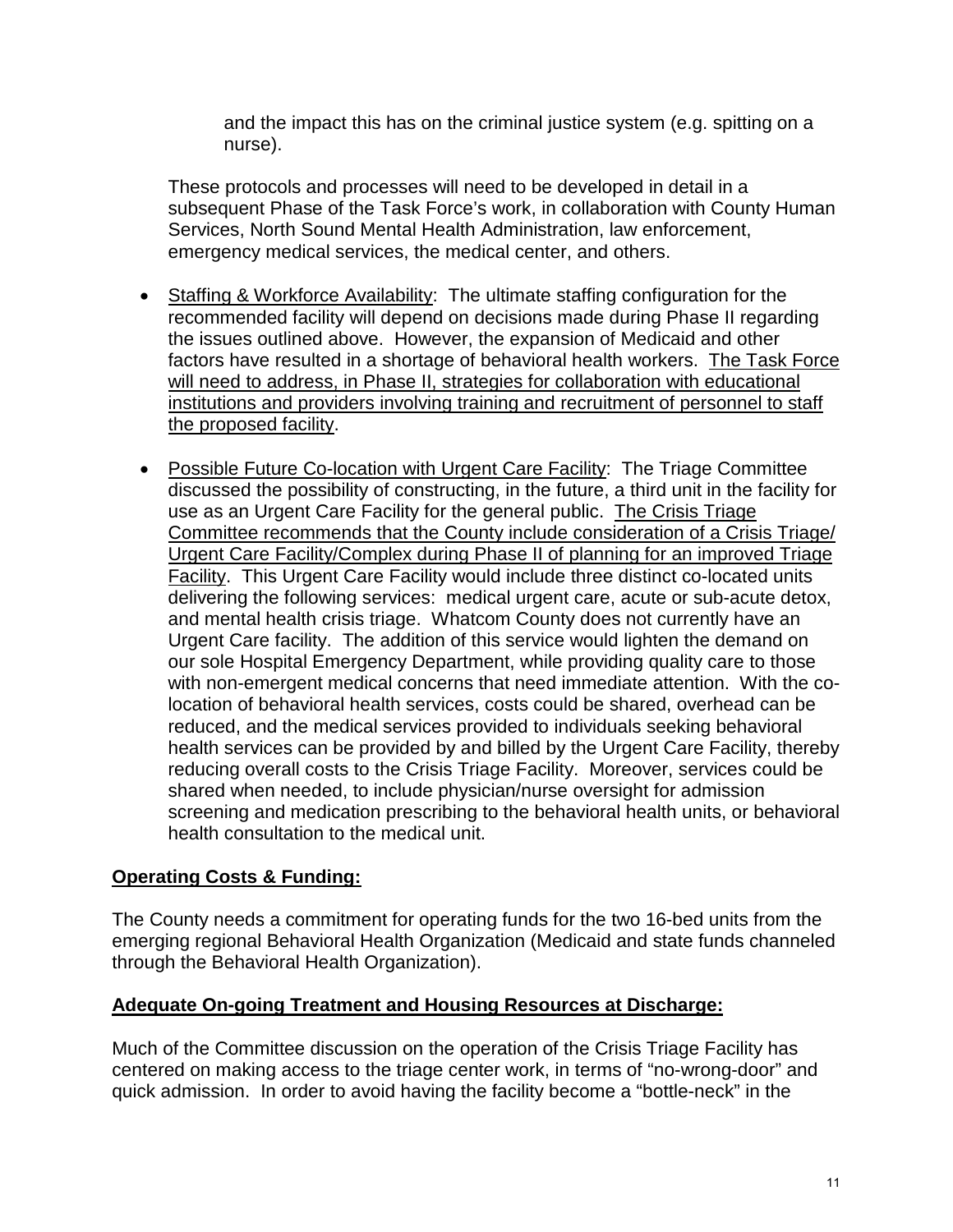and the impact this has on the criminal justice system (e.g. spitting on a nurse).

These protocols and processes will need to be developed in detail in a subsequent Phase of the Task Force's work, in collaboration with County Human Services, North Sound Mental Health Administration, law enforcement, emergency medical services, the medical center, and others.

- Staffing & Workforce Availability: The ultimate staffing configuration for the recommended facility will depend on decisions made during Phase II regarding the issues outlined above. However, the expansion of Medicaid and other factors have resulted in a shortage of behavioral health workers. The Task Force will need to address, in Phase II, strategies for collaboration with educational institutions and providers involving training and recruitment of personnel to staff the proposed facility.
- Possible Future Co-location with Urgent Care Facility: The Triage Committee discussed the possibility of constructing, in the future, a third unit in the facility for use as an Urgent Care Facility for the general public. The Crisis Triage Committee recommends that the County include consideration of a Crisis Triage/ Urgent Care Facility/Complex during Phase II of planning for an improved Triage Facility. This Urgent Care Facility would include three distinct co-located units delivering the following services: medical urgent care, acute or sub-acute detox, and mental health crisis triage. Whatcom County does not currently have an Urgent Care facility. The addition of this service would lighten the demand on our sole Hospital Emergency Department, while providing quality care to those with non-emergent medical concerns that need immediate attention. With the colocation of behavioral health services, costs could be shared, overhead can be reduced, and the medical services provided to individuals seeking behavioral health services can be provided by and billed by the Urgent Care Facility, thereby reducing overall costs to the Crisis Triage Facility. Moreover, services could be shared when needed, to include physician/nurse oversight for admission screening and medication prescribing to the behavioral health units, or behavioral health consultation to the medical unit.

#### **Operating Costs & Funding:**

The County needs a commitment for operating funds for the two 16-bed units from the emerging regional Behavioral Health Organization (Medicaid and state funds channeled through the Behavioral Health Organization).

#### **Adequate On-going Treatment and Housing Resources at Discharge:**

Much of the Committee discussion on the operation of the Crisis Triage Facility has centered on making access to the triage center work, in terms of "no-wrong-door" and quick admission. In order to avoid having the facility become a "bottle-neck" in the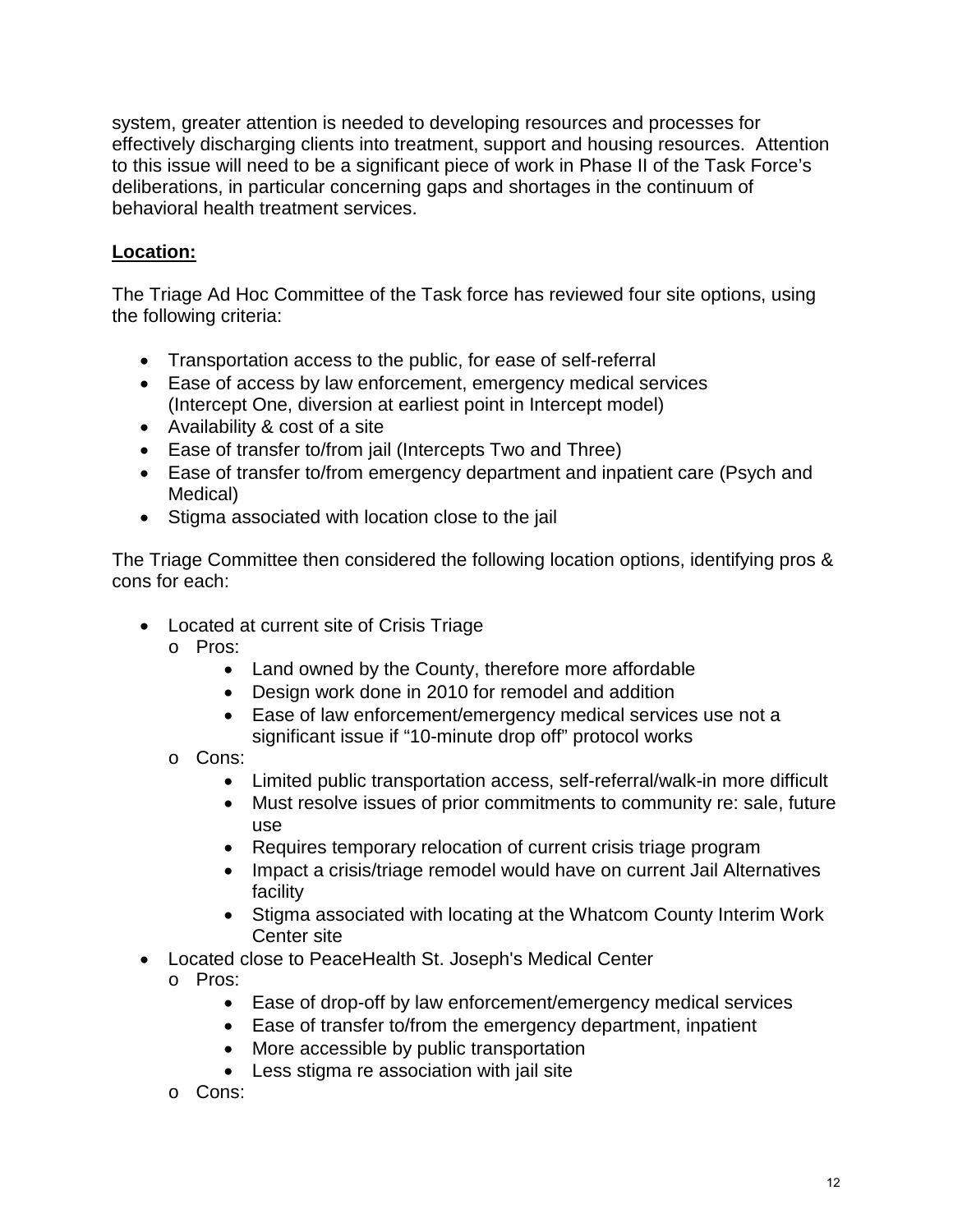system, greater attention is needed to developing resources and processes for effectively discharging clients into treatment, support and housing resources. Attention to this issue will need to be a significant piece of work in Phase II of the Task Force's deliberations, in particular concerning gaps and shortages in the continuum of behavioral health treatment services.

### **Location:**

The Triage Ad Hoc Committee of the Task force has reviewed four site options, using the following criteria:

- Transportation access to the public, for ease of self-referral
- Ease of access by law enforcement, emergency medical services (Intercept One, diversion at earliest point in Intercept model)
- Availability & cost of a site
- Ease of transfer to/from jail (Intercepts Two and Three)
- Ease of transfer to/from emergency department and inpatient care (Psych and Medical)
- Stigma associated with location close to the jail

The Triage Committee then considered the following location options, identifying pros & cons for each:

- Located at current site of Crisis Triage
	- o Pros:
		- Land owned by the County, therefore more affordable
		- Design work done in 2010 for remodel and addition
		- Ease of law enforcement/emergency medical services use not a significant issue if "10-minute drop off" protocol works
	- o Cons:
		- Limited public transportation access, self-referral/walk-in more difficult
		- Must resolve issues of prior commitments to community re: sale, future use
		- Requires temporary relocation of current crisis triage program
		- Impact a crisis/triage remodel would have on current Jail Alternatives facility
		- Stigma associated with locating at the Whatcom County Interim Work Center site
- Located close to PeaceHealth St. Joseph's Medical Center
	- o Pros:
		- Ease of drop-off by law enforcement/emergency medical services
		- Ease of transfer to/from the emergency department, inpatient
		- More accessible by public transportation
		- Less stigma re association with jail site
	- o Cons: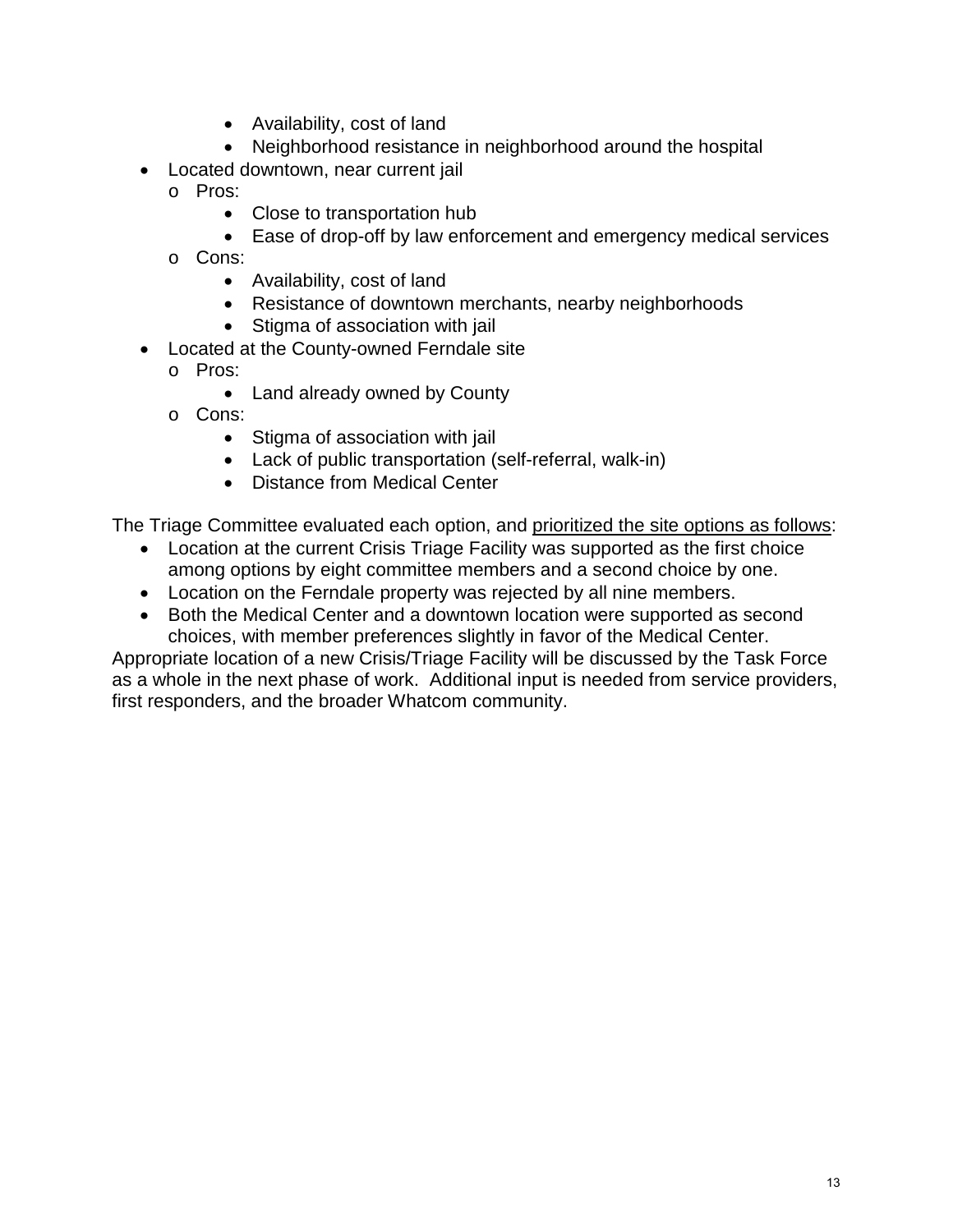- Availability, cost of land
- Neighborhood resistance in neighborhood around the hospital
- Located downtown, near current jail
	- o Pros:
		- Close to transportation hub
		- Ease of drop-off by law enforcement and emergency medical services
	- o Cons:
		- Availability, cost of land
		- Resistance of downtown merchants, nearby neighborhoods
		- Stigma of association with jail
- Located at the County-owned Ferndale site
	- o Pros:
		- Land already owned by County
	- o Cons:
		- Stigma of association with jail
		- Lack of public transportation (self-referral, walk-in)
		- Distance from Medical Center

The Triage Committee evaluated each option, and prioritized the site options as follows:

- Location at the current Crisis Triage Facility was supported as the first choice among options by eight committee members and a second choice by one.
- Location on the Ferndale property was rejected by all nine members.
- Both the Medical Center and a downtown location were supported as second choices, with member preferences slightly in favor of the Medical Center.

Appropriate location of a new Crisis/Triage Facility will be discussed by the Task Force as a whole in the next phase of work. Additional input is needed from service providers, first responders, and the broader Whatcom community.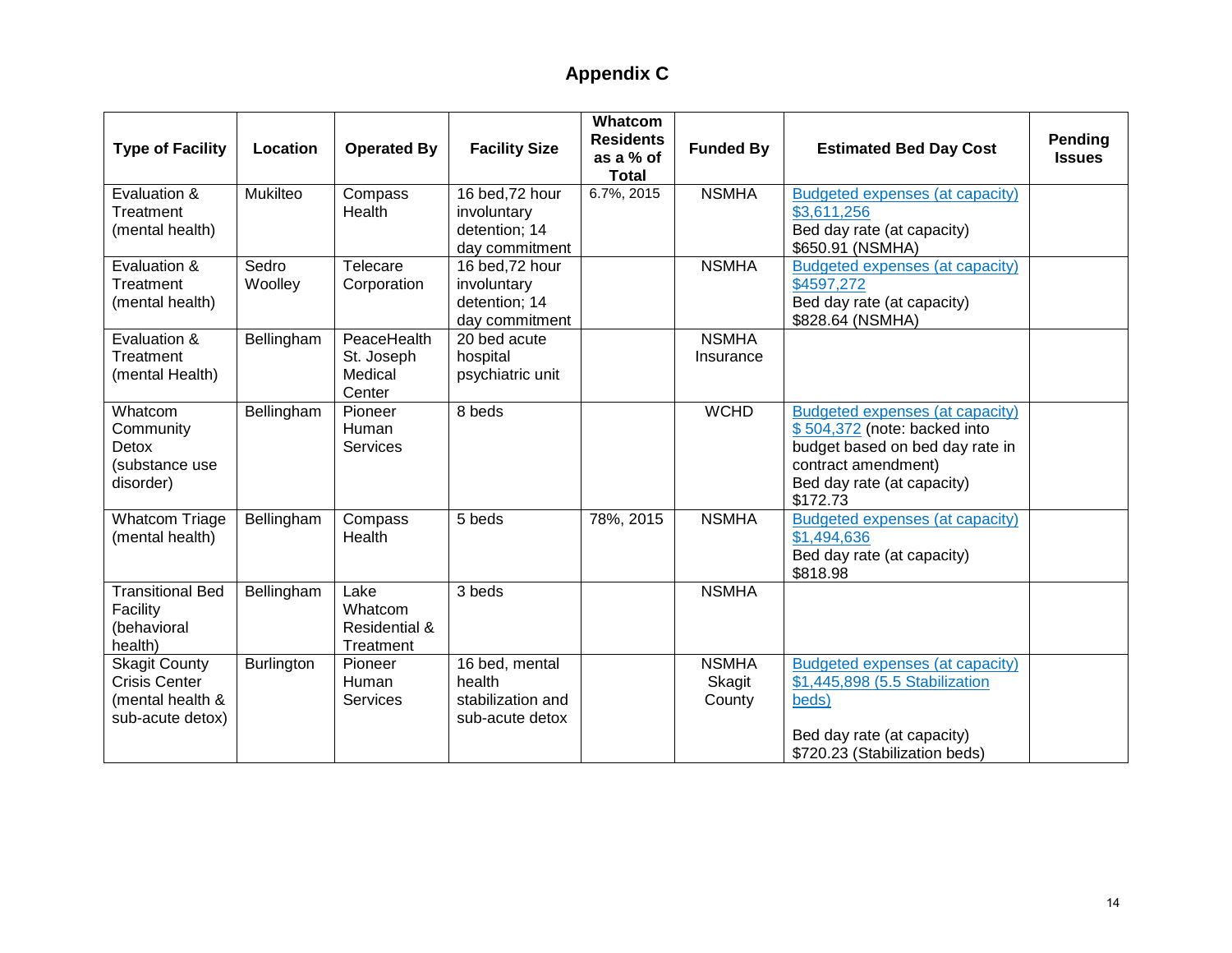# **Appendix C**

<span id="page-13-0"></span>

| <b>Type of Facility</b>                                                              | Location          | <b>Operated By</b>                             | <b>Facility Size</b>                                              | <b>Whatcom</b><br><b>Residents</b><br>as a % of<br><b>Total</b> | <b>Funded By</b>                 | <b>Estimated Bed Day Cost</b>                                                                                                                                       | Pending<br><b>Issues</b> |
|--------------------------------------------------------------------------------------|-------------------|------------------------------------------------|-------------------------------------------------------------------|-----------------------------------------------------------------|----------------------------------|---------------------------------------------------------------------------------------------------------------------------------------------------------------------|--------------------------|
| Evaluation &<br>Treatment<br>(mental health)                                         | Mukilteo          | Compass<br>Health                              | 16 bed, 72 hour<br>involuntary<br>detention; 14<br>day commitment | 6.7%, 2015                                                      | <b>NSMHA</b>                     | Budgeted expenses (at capacity)<br>\$3,611,256<br>Bed day rate (at capacity)<br>\$650.91 (NSMHA)                                                                    |                          |
| Evaluation &<br>Treatment<br>(mental health)                                         | Sedro<br>Woolley  | Telecare<br>Corporation                        | 16 bed, 72 hour<br>involuntary<br>detention; 14<br>day commitment |                                                                 | <b>NSMHA</b>                     | Budgeted expenses (at capacity)<br>\$4597,272<br>Bed day rate (at capacity)<br>\$828.64 (NSMHA)                                                                     |                          |
| Evaluation &<br>Treatment<br>(mental Health)                                         | Bellingham        | PeaceHealth<br>St. Joseph<br>Medical<br>Center | 20 bed acute<br>hospital<br>psychiatric unit                      |                                                                 | <b>NSMHA</b><br>Insurance        |                                                                                                                                                                     |                          |
| Whatcom<br>Community<br>Detox<br>(substance use<br>disorder)                         | Bellingham        | Pioneer<br>Human<br><b>Services</b>            | 8 beds                                                            |                                                                 | <b>WCHD</b>                      | Budgeted expenses (at capacity)<br>\$504,372 (note: backed into<br>budget based on bed day rate in<br>contract amendment)<br>Bed day rate (at capacity)<br>\$172.73 |                          |
| <b>Whatcom Triage</b><br>(mental health)                                             | Bellingham        | Compass<br>Health                              | 5 beds                                                            | 78%, 2015                                                       | <b>NSMHA</b>                     | Budgeted expenses (at capacity)<br>\$1,494,636<br>Bed day rate (at capacity)<br>\$818.98                                                                            |                          |
| <b>Transitional Bed</b><br>Facility<br>(behavioral<br>health)                        | Bellingham        | Lake<br>Whatcom<br>Residential &<br>Treatment  | 3 beds                                                            |                                                                 | <b>NSMHA</b>                     |                                                                                                                                                                     |                          |
| <b>Skagit County</b><br><b>Crisis Center</b><br>(mental health &<br>sub-acute detox) | <b>Burlington</b> | Pioneer<br>Human<br>Services                   | 16 bed, mental<br>health<br>stabilization and<br>sub-acute detox  |                                                                 | <b>NSMHA</b><br>Skagit<br>County | Budgeted expenses (at capacity)<br>\$1,445,898 (5.5 Stabilization<br>beds)<br>Bed day rate (at capacity)<br>\$720.23 (Stabilization beds)                           |                          |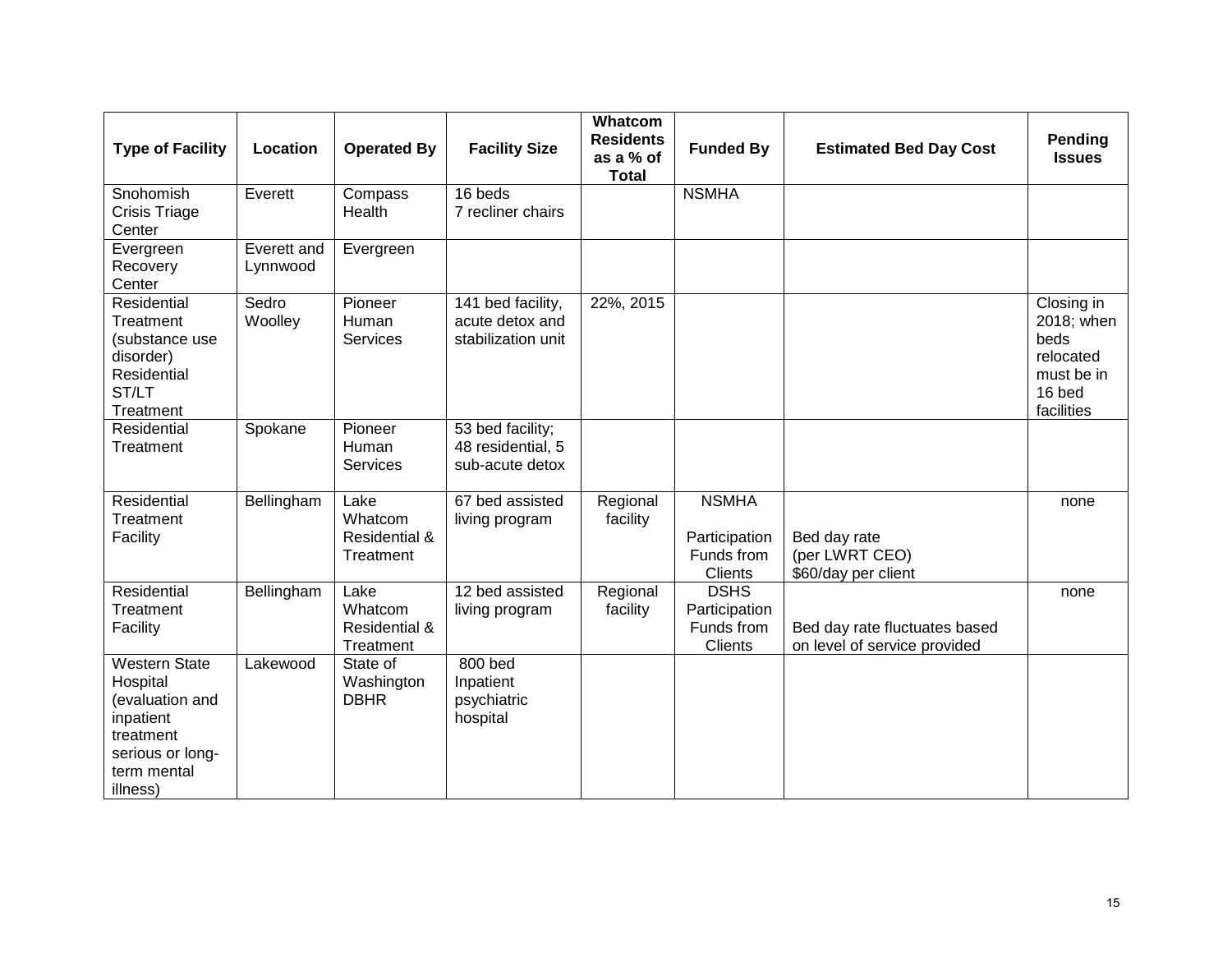| <b>Type of Facility</b>                                                                                                      | Location                | <b>Operated By</b>                                       | <b>Facility Size</b>                                       | Whatcom<br><b>Residents</b><br>as a % of<br><b>Total</b> | <b>Funded By</b>                                              | <b>Estimated Bed Day Cost</b>                                 | Pending<br><b>Issues</b>                                                            |
|------------------------------------------------------------------------------------------------------------------------------|-------------------------|----------------------------------------------------------|------------------------------------------------------------|----------------------------------------------------------|---------------------------------------------------------------|---------------------------------------------------------------|-------------------------------------------------------------------------------------|
| Snohomish<br><b>Crisis Triage</b><br>Center                                                                                  | Everett                 | Compass<br>Health                                        | 16 beds<br>7 recliner chairs                               |                                                          | <b>NSMHA</b>                                                  |                                                               |                                                                                     |
| Evergreen<br>Recovery<br>Center                                                                                              | Everett and<br>Lynnwood | Evergreen                                                |                                                            |                                                          |                                                               |                                                               |                                                                                     |
| Residential<br>Treatment<br>(substance use<br>disorder)<br>Residential<br>ST/LT<br>Treatment                                 | Sedro<br>Woolley        | Pioneer<br>Human<br>Services                             | 141 bed facility,<br>acute detox and<br>stabilization unit | 22%, 2015                                                |                                                               |                                                               | Closing in<br>2018; when<br>beds<br>relocated<br>must be in<br>16 bed<br>facilities |
| Residential<br>Treatment                                                                                                     | Spokane                 | Pioneer<br>Human<br>Services                             | 53 bed facility;<br>48 residential, 5<br>sub-acute detox   |                                                          |                                                               |                                                               |                                                                                     |
| Residential<br>Treatment<br>Facility                                                                                         | Bellingham              | Lake<br>Whatcom<br><b>Residential &amp;</b><br>Treatment | 67 bed assisted<br>living program                          | Regional<br>facility                                     | <b>NSMHA</b><br>Participation<br>Funds from<br><b>Clients</b> | Bed day rate<br>(per LWRT CEO)<br>\$60/day per client         | none                                                                                |
| Residential<br>Treatment<br>Facility                                                                                         | Bellingham              | Lake<br>Whatcom<br>Residential &<br>Treatment            | 12 bed assisted<br>living program                          | Regional<br>facility                                     | <b>DSHS</b><br>Participation<br>Funds from<br>Clients         | Bed day rate fluctuates based<br>on level of service provided | none                                                                                |
| <b>Western State</b><br>Hospital<br>(evaluation and<br>inpatient<br>treatment<br>serious or long-<br>term mental<br>illness) | Lakewood                | State of<br>Washington<br><b>DBHR</b>                    | 800 bed<br>Inpatient<br>psychiatric<br>hospital            |                                                          |                                                               |                                                               |                                                                                     |